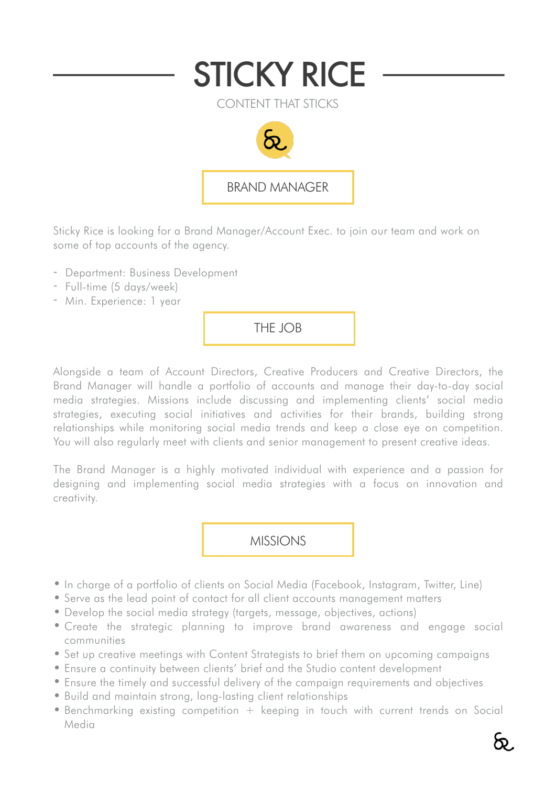

Sticky Rice is looking for a Brand Manager/Account Exec. to join our team and work on some of top accounts of the agency.

- Department: Business Development
- Full-time (5 days/week)
- Min. Experience: 1 year

THE JOB

Alongside a team of Account Directors, Creative Producers and Creative Directors, the Brand Manager will handle a portfolio of accounts and manage their day-to-day social media strategies. Missions include discussing and implementing clients' social media strategies, executing social initiatives and activities for their brands, building strong relationships while monitoring social media trends and keep a close eye on competition. You will also regularly meet with clients and senior management to present creative ideas.

The Brand Manager is a highly motivated individual with experience and a passion for designing and implementing social media strategies with a focus on innovation and creativity.

MISSIONS

- In charge of a portfolio of clients on Social Media (Facebook, Instagram, Twitter, Line)
- Serve as the lead point of contact for all client accounts management matters
- Develop the social media strategy (targets, message, objectives, actions)
- Create the strategic planning to improve brand awareness and engage social communities
- Set up creative meetings with Content Strategists to brief them on upcoming campaigns
- Ensure a continuity between clients' brief and the Studio content development
- Ensure the timely and successful delivery of the campaign requirements and objectives
- Build and maintain strong, long-lasting client relationships
- Benchmarking existing competition + keeping in touch with current trends on Social Media